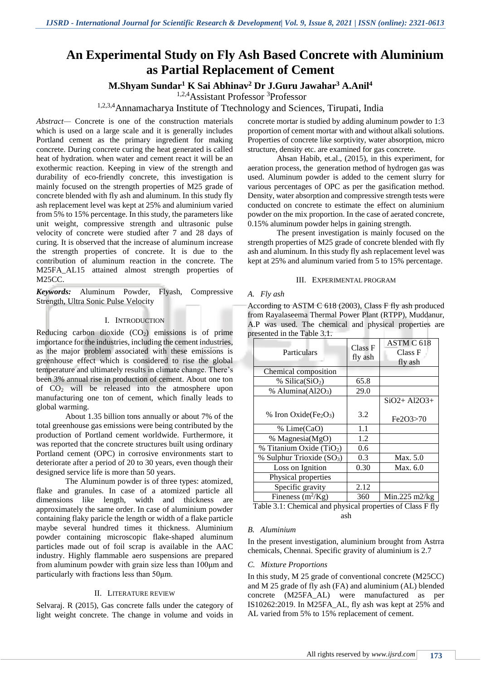# **An Experimental Study on Fly Ash Based Concrete with Aluminium as Partial Replacement of Cement**

## **M.Shyam Sundar<sup>1</sup> K Sai Abhinav<sup>2</sup> Dr J.Guru Jawahar<sup>3</sup> A.Anil<sup>4</sup>**

 $1,2,4$ Assistant Professor  $3$ Professor

1,2,3,4Annamacharya Institute of Ttechnology and Sciences, Tirupati, India

*Abstract—* Concrete is one of the construction materials which is used on a large scale and it is generally includes Portland cement as the primary ingredient for making concrete. During concrete curing the heat generated is called heat of hydration. when water and cement react it will be an exothermic reaction. Keeping in view of the strength and durability of eco-friendly concrete, this investigation is mainly focused on the strength properties of M25 grade of concrete blended with fly ash and aluminum. In this study fly ash replacement level was kept at 25% and aluminium varied from 5% to 15% percentage. In this study, the parameters like unit weight, compressive strength and ultrasonic pulse velocity of concrete were studied after 7 and 28 days of curing. It is observed that the increase of aluminum increase the strength properties of concrete. It is due to the contribution of aluminum reaction in the concrete. The M25FA\_AL15 attained almost strength properties of M25CC.

*Keywords:* Aluminum Powder, Flyash, Compressive Strength, Ultra Sonic Pulse Velocity

## I. INTRODUCTION

Reducing carbon dioxide  $(CO_2)$  emissions is of prime importance for the industries, including the cement industries, as the major problem associated with these emissions is greenhouse effect which is considered to rise the global temperature and ultimately results in climate change. There's been 3% annual rise in production of cement. About one ton of CO<sup>2</sup> will be released into the atmosphere upon manufacturing one ton of cement, which finally leads to global warming.

About 1.35 billion tons annually or about 7% of the total greenhouse gas emissions were being contributed by the production of Portland cement worldwide. Furthermore, it was reported that the concrete structures built using ordinary Portland cement (OPC) in corrosive environments start to deteriorate after a period of 20 to 30 years, even though their designed service life is more than 50 years.

The Aluminum powder is of three types: atomized, flake and granules. In case of a atomized particle all dimensions like length, width and thickness are approximately the same order. In case of aluminium powder containing flaky paricle the length or width of a flake particle maybe several hundred times it thickness. Aluminium powder containing microscopic flake-shaped aluminum particles made out of foil scrap is available in the AAC industry. Highly flammable aero suspensions are prepared from aluminum powder with grain size less than 100μm and particularly with fractions less than 50μm.

#### II. LITERATURE REVIEW

Selvaraj. R (2015), Gas concrete falls under the category of light weight concrete. The change in volume and voids in concrete mortar is studied by adding aluminum powder to 1:3 proportion of cement mortar with and without alkali solutions. Properties of concrete like sorptivity, water absorption, micro structure, density etc. are examined for gas concrete.

Ahsan Habib, et.al., (2015), in this experiment, for aeration process, the generation method of hydrogen gas was used. Aluminum powder is added to the cement slurry for various percentages of OPC as per the gasification method. Density, water absorption and compressive strength tests were conducted on concrete to estimate the effect on aluminium powder on the mix proportion. In the case of aerated concrete, 0.15% aluminum powder helps in gaining strength.

The present investigation is mainly focused on the strength properties of M25 grade of concrete blended with fly ash and aluminum. In this study fly ash replacement level was kept at 25% and aluminum varied from 5 to 15% percentage.

#### III. EXPERIMENTAL PROGRAM

#### *A. Fly ash*

According to ASTM C 618 (2003), Class F fly ash produced from Rayalaseema Thermal Power Plant (RTPP), Muddanur, A.P was used. The chemical and physical properties are presented in the Table 3.1.

| Particulars                                   | Class <sub>F</sub><br>fly ash | ASTM C 618<br>Class F<br>fly ash |
|-----------------------------------------------|-------------------------------|----------------------------------|
| Chemical composition                          |                               |                                  |
| % Silica(SiO <sub>2</sub> )                   | 65.8                          |                                  |
| % Alumina(Al2O <sub>3</sub> )                 | 29.0                          |                                  |
|                                               |                               | $SiO2+Al2O3+$                    |
| % Iron Oxide(Fe <sub>2</sub> O <sub>3</sub> ) | 3.2                           | Fe2O3>70                         |
| % Lime(CaO)                                   | 1.1                           |                                  |
| % Magnesia(MgO)                               | 1.2                           |                                  |
| % Titanium Oxide (TiO <sub>2</sub> )          | 0.6                           |                                  |
| % Sulphur Trioxide (SO <sub>3</sub> )         | 0.3                           | Max. 5.0                         |
| Loss on Ignition                              | 0.30                          | Max. 6.0                         |
| Physical properties                           |                               |                                  |
| Specific gravity                              | 2.12                          |                                  |
| Fineness $(m^2/Kg)$                           | 360                           | $Min.225 \text{ m}$ 2/kg         |

Table 3.1: Chemical and physical properties of Class F fly ash

#### *B. Aluminium*

In the present investigation, aluminium brought from Astrra chemicals, Chennai. Specific gravity of aluminium is 2.7

### *C. Mixture Proportions*

In this study, M 25 grade of conventional concrete (M25CC) and M 25 grade of fly ash (FA) and aluminium (AL) blended concrete (M25FA\_AL) were manufactured as per IS10262:2019. In M25FA\_AL, fly ash was kept at 25% and AL varied from 5% to 15% replacement of cement.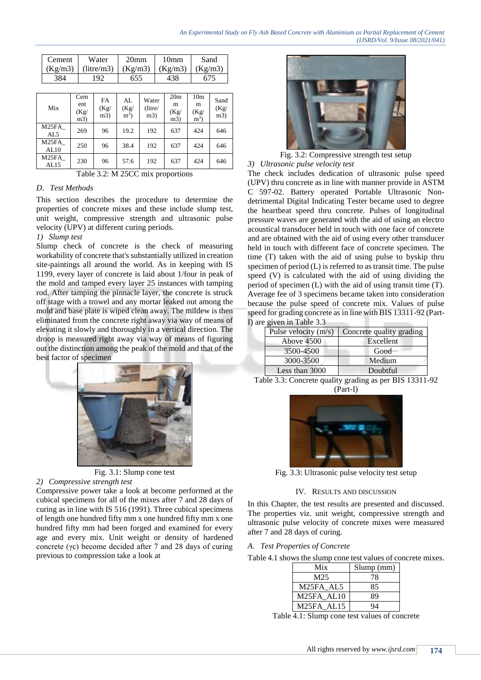| Cement | Water                                              | 20 <sub>mm</sub> | 10 <sub>mm</sub> | Sand |
|--------|----------------------------------------------------|------------------|------------------|------|
|        | $(Kg/m3)$ (litre/m3) $(Kg/m3)$ $(Kg/m3)$ $(Kg/m3)$ |                  |                  |      |
| 384    | 192                                                | 655              | 438              | 675  |

| Mix           | Cem<br>ent<br>(Kg)<br>m3) | FA<br>(Kg)<br>m3) | AL<br>(Kg)<br>$m^3$ ) | Water<br>(litre/<br>m3) | 20 <sub>m</sub><br>m<br>(Kg)<br>m3) | 10 <sub>m</sub><br>m<br>(Kg)<br>$m3$ ) | Sand<br>(Kg)<br>m3) |
|---------------|---------------------------|-------------------|-----------------------|-------------------------|-------------------------------------|----------------------------------------|---------------------|
| M25FA<br>AL5  | 269                       | 96                | 19.2                  | 192                     | 637                                 | 424                                    | 646                 |
| M25FA<br>AL10 | 250                       | 96                | 38.4                  | 192                     | 637                                 | 424                                    | 646                 |
| M25FA<br>AL15 | 230                       | 96                | 57.6                  | 192                     | 637                                 | 424                                    | 646                 |

Table 3.2: M 25CC mix proportions

## *D. Test Methods*

This section describes the procedure to determine the properties of concrete mixes and these include slump test, unit weight, compressive strength and ultrasonic pulse velocity (UPV) at different curing periods.

## *1) Slump test*

Slump check of concrete is the check of measuring workability of concrete that's substantially utilized in creation site-paintings all around the world. As in keeping with IS 1199, every layer of concrete is laid about 1/four in peak of the mold and tamped every layer 25 instances with tamping rod. After tamping the pinnacle layer, the concrete is struck off stage with a trowel and any mortar leaked out among the mold and base plate is wiped clean away. The mildew is then eliminated from the concrete right away via way of means of elevating it slowly and thoroughly in a vertical direction. The droop is measured right away via way of means of figuring out the distinction among the peak of the mold and that of the best factor of specimen



Fig. 3.1: Slump cone test

### *2) Compressive strength test*

Compressive power take a look at become performed at the cubical specimens for all of the mixes after 7 and 28 days of curing as in line with IS 516 (1991). Three cubical specimens of length one hundred fifty mm x one hundred fifty mm x one hundred fifty mm had been forged and examined for every age and every mix. Unit weight or density of hardened concrete (γc) become decided after 7 and 28 days of curing previous to compression take a look at



Fig. 3.2: Compressive strength test setup *3) Ultrasonic pulse velocity test*

The check includes dedication of ultrasonic pulse speed (UPV) thru concrete as in line with manner provide in ASTM C 597-02. Battery operated Portable Ultrasonic Nondetrimental Digital Indicating Tester became used to degree the heartbeat speed thru concrete. Pulses of longitudinal pressure waves are generated with the aid of using an electro acoustical transducer held in touch with one face of concrete and are obtained with the aid of using every other transducer held in touch with different face of concrete specimen. The time (T) taken with the aid of using pulse to byskip thru specimen of period (L) is referred to as transit time. The pulse speed (V) is calculated with the aid of using dividing the period of specimen (L) with the aid of using transit time (T). Average fee of 3 specimens became taken into consideration because the pulse speed of concrete mix. Values of pulse speed for grading concrete as in line with BIS 13311-92 (Part-I) are given in Table 3.3

| Pulse velocity $(m/s)$ | Concrete quality grading |  |  |
|------------------------|--------------------------|--|--|
| Above 4500             | Excellent                |  |  |
| 3500-4500              | Good                     |  |  |
| 3000-3500              | Medium                   |  |  |
| Less than 3000         | Doubtful                 |  |  |

Table 3.3: Concrete quality grading as per BIS 13311-92 (Part-I)



Fig. 3.3: Ultrasonic pulse velocity test setup

#### IV. RESULTS AND DISCUSSION

In this Chapter, the test results are presented and discussed. The properties viz. unit weight, compressive strength and ultrasonic pulse velocity of concrete mixes were measured after 7 and 28 days of curing.

*A. Test Properties of Concrete*

Table 4.1 shows the slump cone test values of concrete mixes.

| Mix                                 | Slump(mm) |
|-------------------------------------|-----------|
| M25                                 | 78        |
| M <sub>25FA</sub> AL <sub>5</sub>   | 85        |
| M25FA AL10                          | 89        |
| M <sub>25</sub> FA AL <sub>15</sub> |           |

Table 4.1: Slump cone test values of concrete